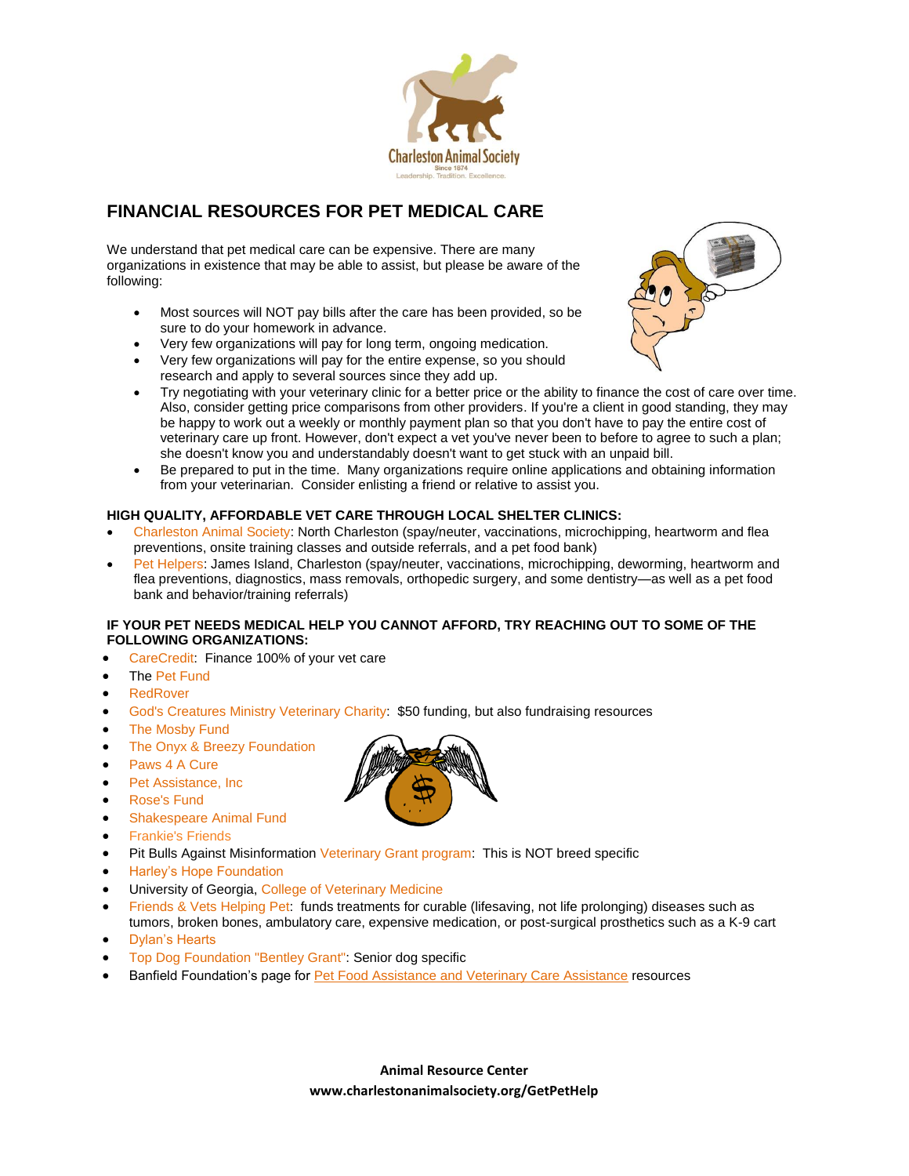

# **FINANCIAL RESOURCES FOR PET MEDICAL CARE**

We understand that pet medical care can be expensive. There are many organizations in existence that may be able to assist, but please be aware of the following:

- Most sources will NOT pay bills after the care has been provided, so be sure to do your homework in advance.
- Very few organizations will pay for long term, ongoing medication.
- Very few organizations will pay for the entire expense, so you should research and apply to several sources since they add up.
- Try negotiating with your veterinary clinic for a better price or the ability to finance the cost of care over time. Also, consider getting price comparisons from other providers. If you're a client in good standing, they may be happy to work out a weekly or monthly payment plan so that you don't have to pay the entire cost of veterinary care up front. However, don't expect a vet you've never been to before to agree to such a plan; she doesn't know you and understandably doesn't want to get stuck with an unpaid bill.
- Be prepared to put in the time. Many organizations require online applications and obtaining information from your veterinarian. Consider enlisting a friend or relative to assist you.

### **HIGH QUALITY, AFFORDABLE VET CARE THROUGH LOCAL SHELTER CLINICS:**

- [Charleston](http://www.charlestonanimalsociety.org/) Animal Society: North Charleston (spay/neuter, vaccinations, microchipping, heartworm and flea preventions, onsite training classes and outside referrals, and a pet food bank)
- Pet [Helpers:](http://www.pethelpers.org/) James Island, Charleston (spay/neuter, vaccinations, microchipping, deworming, heartworm and flea preventions, diagnostics, mass removals, orthopedic surgery, and some dentistry—as well as a pet food bank and behavior/training referrals)

### **IF YOUR PET NEEDS MEDICAL HELP YOU CANNOT AFFORD, TRY REACHING OUT TO SOME OF THE FOLLOWING ORGANIZATIONS:**

- [CareCredit:](http://www.carecredit.com/) Finance 100% of your vet care
- The [Pet Fund](http://thepetfund.com/)
- [RedRover](http://www.uan.org/?navid=28)
- God's Creatures Ministry [Veterinary](http://www.all-creatures.org/gcm/help-cf.html) Charity: \$50 funding, but also fundraising resources
- The [Mosby](http://www.themosbyfoundation.org/) Fund
- The Onyx & Breezy [Foundation](http://www.onyxandbreezy.org/)
- [Paws](http://www.paws4acure.org/) 4 A Cure
- Pet [Assistance,](http://www.petassistanceinc.org/#!emergency-aid/c1tyy) Inc
- [Rose's](http://www.rosesfund.org/) Fund
- [Shakespeare](http://www.shakespeareanimalfund.org/) Animal Fund
- [Frankie's Friends](http://www.frankiesfriends.com/)
- Pit Bulls Against Misinformatio[n Veterinary Grant program:](http://www.pitbulltruth.org/programs/our-veterinary-fund/) This is NOT breed specific
- [Harley's Hope Foundation](http://www.harleys-hopefoundation.org/applicationforservices.html)
- University of Georgia, [College of Veterinary Medicine](http://vet.uga.edu/)
- [Friends & Vets Helping Pet:](http://friendsandvetshelpingpets.org/need-assitance/) funds treatments for curable (lifesaving, not life prolonging) diseases such as tumors, broken bones, ambulatory care, expensive medication, or post-surgical prosthetics such as a K-9 cart
- [Dylan's Hearts](http://www.dylanshearts.com/eligibilityguidelines.html)
- Top Dog [Foundation](http://www.topdogfoundation.org/) "Bentley Grant": Senior dog specific
- Banfield Foundation's page fo[r Pet Food Assistance and Veterinary Care Assistance](http://www.banfield.com/about-us/community/banfield-foundation/pet-owner-help) resources

**Animal Resource Center www.charlestonanimalsociety.org/GetPetHelp**



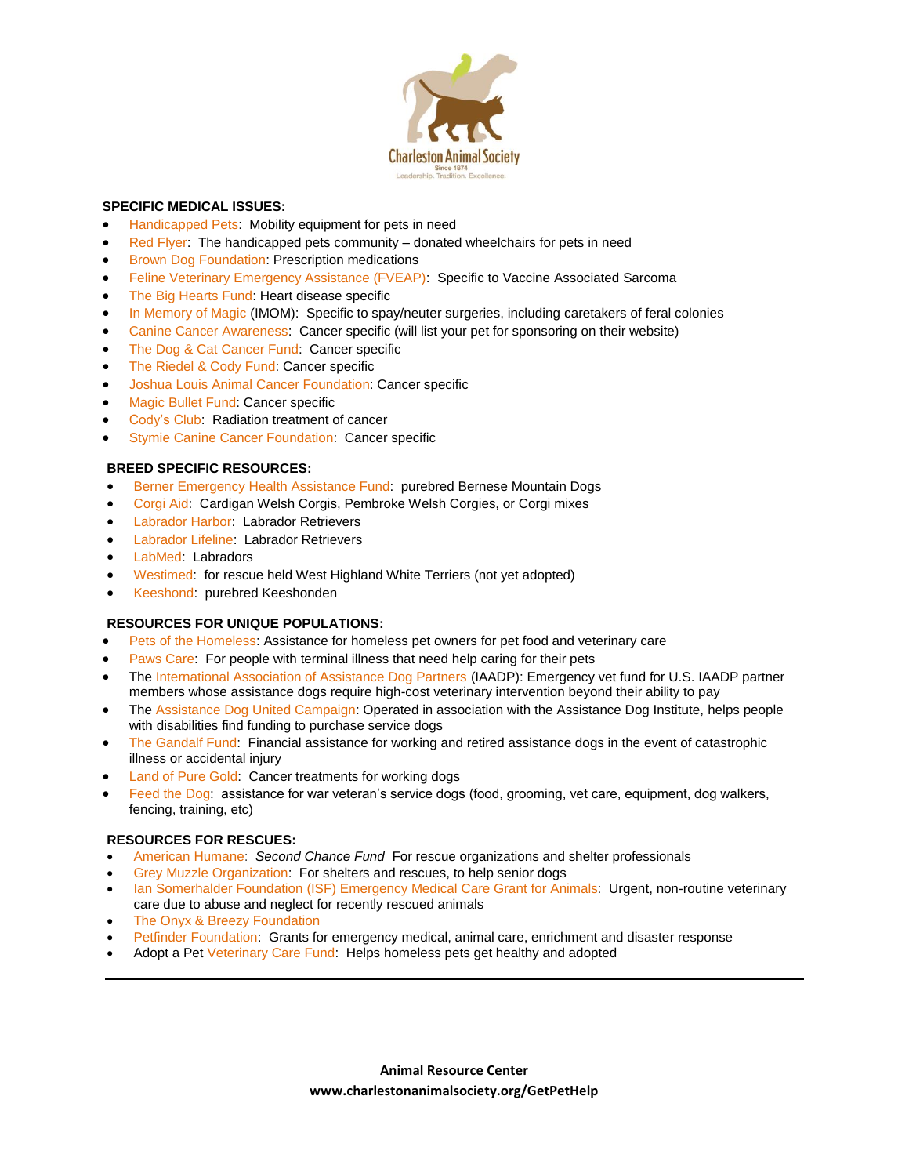

### **SPECIFIC MEDICAL ISSUES:**

- [Handicapped Pets:](http://hpets.org/) Mobility equipment for pets in need
- [Red Flyer:](https://www.facebook.com/RedFlyers/timeline) The handicapped pets community donated wheelchairs for pets in need
- Brown Dog [Foundation:](http://www.browndogfoundation.org/) Prescription medications
- [Feline Veterinary Emergency Assistance \(FVEAP\):](http://www.fveap.org/) Specific to Vaccine Associated Sarcoma
- The Big [Hearts](http://www.bigheartsfund.org/) Fund: Heart disease specific
- [In Memory of Magic](http://www.imom.org/) (IMOM): Specific to spay/neuter surgeries, including caretakers of feral colonies
- Canine Cancer [Awareness:](http://www.caninecancerawareness.org/) Cancer specific (will list your pet for sponsoring on their website)
- The Dog & Cat [Cancer](http://www.dccfund.org/) Fund: Cancer specific
- The [Riedel](https://www.riedelcody.org/) & Cody Fund: Cancer specific
- Joshua Louis Animal Cancer [Foundation:](http://www.joshualouis.org/) Cancer specific
- [Magic](http://www.themagicbulletfund.org/) Bullet Fund: Cancer specific
- [Cody's Club:](http://www.dogdoggiedog.com/pwcAcodysclub.htm) Radiation treatment of cancer
- [Stymie Canine Cancer Foundation:](http://fightk9cancer.org/) Cancer specific

### **BREED SPECIFIC RESOURCES:**

- Berner [Emergency](http://www.behaf.org/) Health Assistance Fund: purebred Bernese Mountain Dogs
- [Corgi Aid:](http://www.corgiaid.org/) Cardigan Welsh Corgis, Pembroke Welsh Corgies, or Corgi mixes
- [Labrador Harbor:](http://www.labradorharbor.org/) Labrador Retrievers
- [Labrador Lifeline:](http://www.labradorlifeline.org/) Labrador Retrievers
- [LabMed:](http://www.labmed.org/) Labradors
- [Westimed:](http://www.westiemed.org/) for rescue held West Highland White Terriers (not yet adopted)
- [Keeshond:](http://www.ksrf.org/) purebred Keeshonden

### **RESOURCES FOR UNIQUE POPULATIONS:**

- Pets of the [Homeless:](http://www.petsofthehomeless.org/) Assistance for homeless pet owners for pet food and veterinary care
- [Paws Care:](https://pawscare.wordpress.com/application/) For people with terminal illness that need help caring for their pets
- The [International Association of Assistance Dog Partners](http://www.iaadp.org/VCP.html) (IAADP): Emergency vet fund for U.S. IAADP partner members whose assistance dogs require high-cost veterinary intervention beyond their ability to pay
- The [Assistance Dog United Campaign:](http://www.assistancedogunitedcampaign.org/vouchers.html) Operated in association with the Assistance Dog Institute, helps people with disabilities find funding to purchase service dogs
- [The Gandalf Fund:](http://www.thegiftofsunshine.org/gandalf.html) Financial assistance for working and retired assistance dogs in the event of catastrophic illness or accidental injury
- [Land of Pure Gold:](http://landofpuregold.com/grants/) Cancer treatments for working dogs
- [Feed the Dog:](http://www.feedthedog.org/warrior-veterans.html) assistance for war veteran's service dogs (food, grooming, vet care, equipment, dog walkers, fencing, training, etc)

### **RESOURCES FOR RESCUES:**

- [American](http://www.americanhumane.org/animals/programs/shelter-services/second-chance-fund/) Humane: *Second Chance Fund* For rescue organizations and shelter professionals
- Grey Muzzle [Organization:](http://www.greymuzzle.org/) For shelters and rescues, to help senior dogs
- Ian [Somerhalder](http://www.isfoundation.com/ISFEmergencyMedicalGrant) Foundation (ISF) Emergency Medical Care Grant for Animals: Urgent, non-routine veterinary care due to abuse and neglect for recently rescued animals
- The Onyx & Breezy [Foundation](http://www.onyxandbreezy.org/)
- [Petfinder Foundation:](http://www.petfinderfoundation.com/for-shelters/apply-for-a-grant/) Grants for emergency medical, animal care, enrichment and disaster response
- Adopt a Pe[t Veterinary Care Fund:](http://shelterblog.adoptapet.com/2015/03/application-for-2015-veterinary-care-fund-grant/?image) Helps homeless pets get healthy and adopted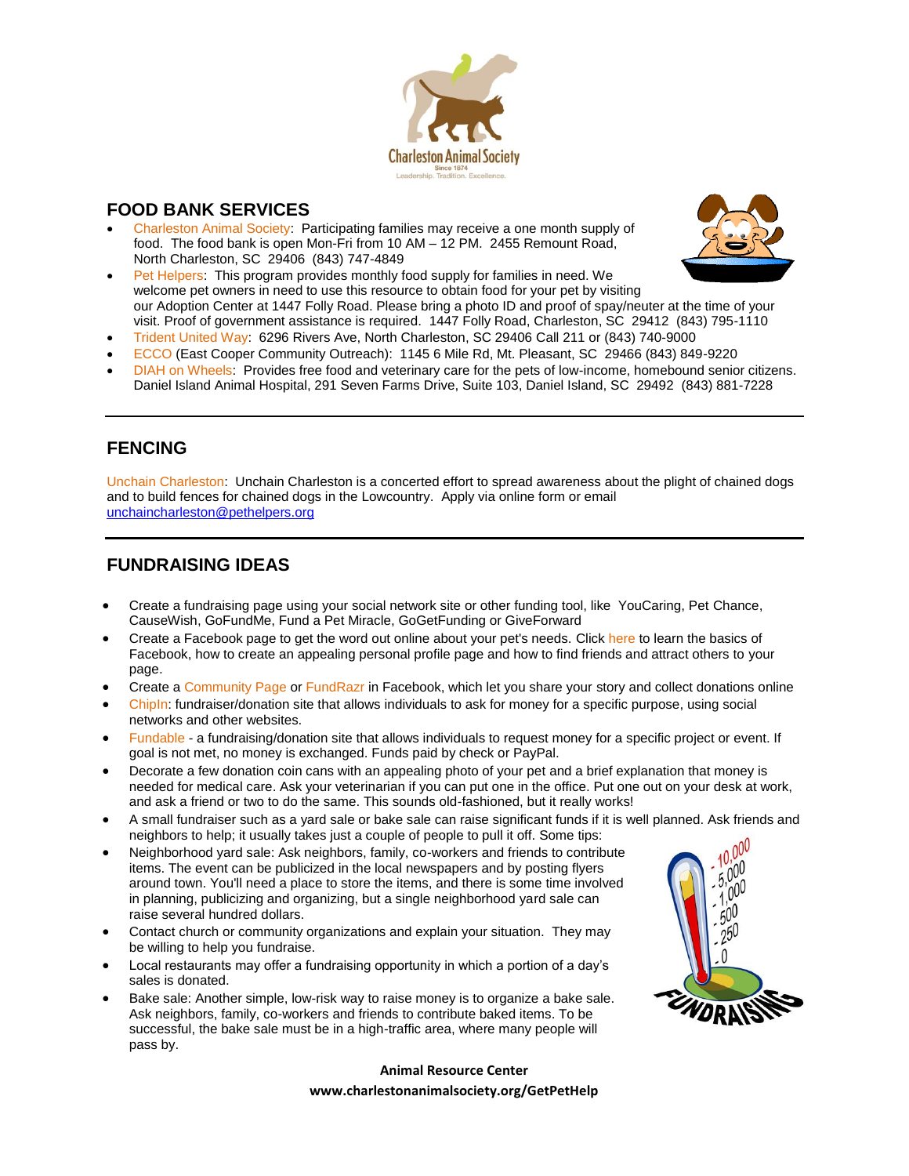

## **FOOD BANK SERVICES**

 [Charleston Animal Society:](http://www.charlestonanimalsociety.org/) Participating families may receive a one month supply of food. The food bank is open Mon-Fri from 10 AM – 12 PM. 2455 Remount Road, North Charleston, SC 29406 (843) 747-4849



- [Pet Helpers:](http://www.pethelpers.org/pet-food-bank/) This program provides monthly food supply for families in need. We welcome pet owners in need to use this resource to obtain food for your pet by visiting our Adoption Center at 1447 Folly Road. Please bring a photo ID and proof of spay/neuter at the time of your visit. Proof of government assistance is required. 1447 Folly Road, Charleston, SC 29412 (843) 795-1110
- [Trident United Way:](http://www.tuw.org/) 6296 Rivers Ave, North Charleston, SC 29406 Call 211 or (843) 740-9000
- [ECCO](http://www.eccocharleston.org/) (East Cooper Community Outreach): 1145 6 Mile Rd, Mt. Pleasant, SC 29466 (843) 849-9220
- [DIAH on Wheels:](http://www.danielislandvet.com/about-us) Provides free food and veterinary care for the pets of low-income, homebound senior citizens. Daniel Island Animal Hospital, 291 Seven Farms Drive, Suite 103, Daniel Island, SC 29492 (843) 881-7228

## **FENCING**

[Unchain Charleston:](http://www.pethelpers.org/unchain-charleston/) Unchain Charleston is a concerted effort to spread awareness about the plight of chained dogs and to build fences for chained dogs in the Lowcountry. Apply via online form or email [unchaincharleston@pethelpers.org](mailto:unchaincharleston@pethelpers.org)

## **FUNDRAISING IDEAS**

- Create a fundraising page using your social network site or other funding tool, like YouCaring, Pet Chance, CauseWish, GoFundMe, Fund a Pet Miracle, GoGetFunding or GiveForward
- Create a Facebook page to get the word out online about your pet's needs. [Click here](http://www.facebook.com/help/?search=creating+a+personal+profile+page#!/help/?page=173) to learn the basics of Facebook, how to create an appealing personal profile page and how to find friends and attract others to your page.
- Create a [Community Page](http://www.facebook.com/pages/create.php?campaign_id=368885149649&placement=pgall&extra_1=0) or [FundRazr](http://fundrazr.com/) in Facebook, which let you share your story and collect donations online
- [ChipIn:](http://www.chipin.com/) fundraiser/donation site that allows individuals to ask for money for a specific purpose, using social networks and other websites.
- [Fundable](http://www.fundable.com/) a fundraising/donation site that allows individuals to request money for a specific project or event. If goal is not met, no money is exchanged. Funds paid by check or PayPal.
- Decorate a few donation coin cans with an appealing photo of your pet and a brief explanation that money is needed for medical care. Ask your veterinarian if you can put one in the office. Put one out on your desk at work, and ask a friend or two to do the same. This sounds old-fashioned, but it really works!
- A small fundraiser such as a yard sale or bake sale can raise significant funds if it is well planned. Ask friends and neighbors to help; it usually takes just a couple of people to pull it off. Some tips:
- Neighborhood yard sale: Ask neighbors, family, co-workers and friends to contribute items. The event can be publicized in the local newspapers and by posting flyers around town. You'll need a place to store the items, and there is some time involved in planning, publicizing and organizing, but a single neighborhood yard sale can raise several hundred dollars.
- Contact church or community organizations and explain your situation. They may be willing to help you fundraise.
- Local restaurants may offer a fundraising opportunity in which a portion of a day's sales is donated.
- Bake sale: Another simple, low-risk way to raise money is to organize a bake sale. Ask neighbors, family, co-workers and friends to contribute baked items. To be successful, the bake sale must be in a high-traffic area, where many people will pass by.



### **Animal Resource Center**

### **www.charlestonanimalsociety.org/GetPetHelp**